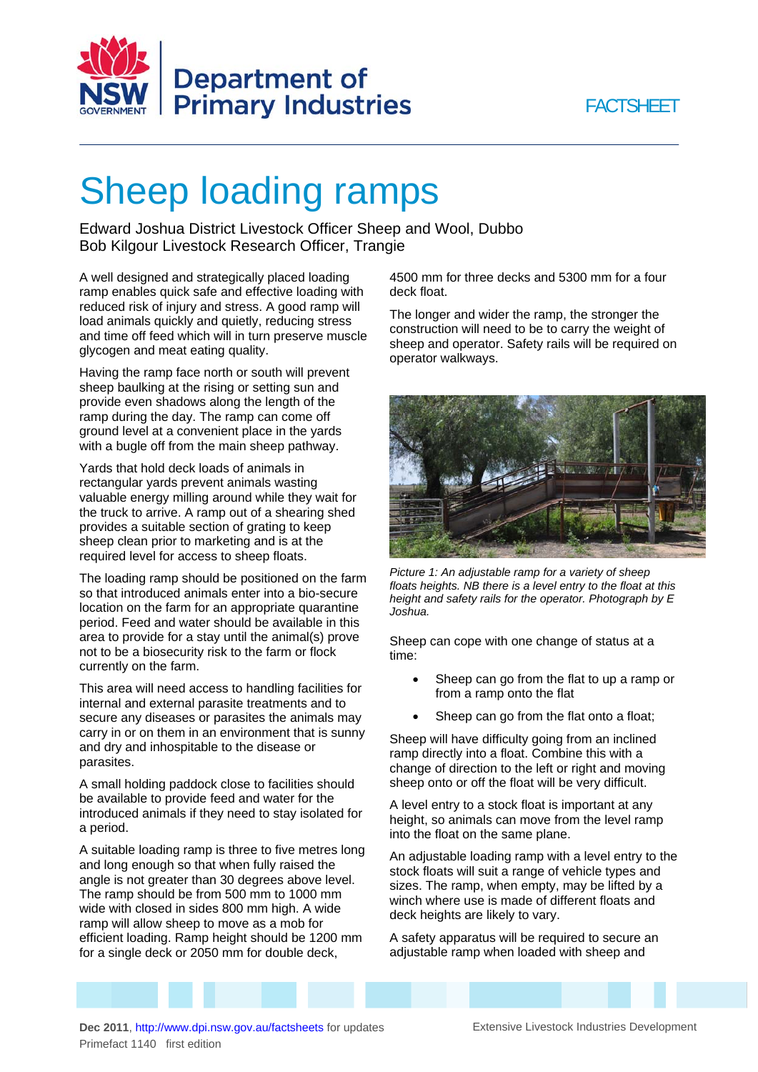



## Sheep loading ramps

Edward Joshua District Livestock Officer Sheep and Wool, Dubbo Bob Kilgour Livestock Research Officer, Trangie

A well designed and strategically placed loading ramp enables quick safe and effective loading with reduced risk of injury and stress. A good ramp will load animals quickly and quietly, reducing stress and time off feed which will in turn preserve muscle glycogen and meat eating quality.

Having the ramp face north or south will prevent sheep baulking at the rising or setting sun and provide even shadows along the length of the ramp during the day. The ramp can come off ground level at a convenient place in the yards with a bugle off from the main sheep pathway.

Yards that hold deck loads of animals in rectangular yards prevent animals wasting valuable energy milling around while they wait for the truck to arrive. A ramp out of a shearing shed provides a suitable section of grating to keep sheep clean prior to marketing and is at the required level for access to sheep floats.

The loading ramp should be positioned on the farm so that introduced animals enter into a bio-secure location on the farm for an appropriate quarantine period. Feed and water should be available in this area to provide for a stay until the animal(s) prove not to be a biosecurity risk to the farm or flock currently on the farm.

This area will need access to handling facilities for internal and external parasite treatments and to secure any diseases or parasites the animals may carry in or on them in an environment that is sunny and dry and inhospitable to the disease or parasites.

A small holding paddock close to facilities should be available to provide feed and water for the introduced animals if they need to stay isolated for a period.

A suitable loading ramp is three to five metres long and long enough so that when fully raised the angle is not greater than 30 degrees above level. The ramp should be from 500 mm to 1000 mm wide with closed in sides 800 mm high. A wide ramp will allow sheep to move as a mob for efficient loading. Ramp height should be 1200 mm for a single deck or 2050 mm for double deck,

4500 mm for three decks and 5300 mm for a four deck float.

The longer and wider the ramp, the stronger the construction will need to be to carry the weight of sheep and operator. Safety rails will be required on operator walkways.



*Picture 1: An adjustable ramp for a variety of sheep floats heights. NB there is a level entry to the float at this height and safety rails for the operator. Photograph by E Joshua.* 

Sheep can cope with one change of status at a time:

- Sheep can go from the flat to up a ramp or from a ramp onto the flat
- Sheep can go from the flat onto a float;

Sheep will have difficulty going from an inclined ramp directly into a float. Combine this with a change of direction to the left or right and moving sheep onto or off the float will be very difficult.

A level entry to a stock float is important at any height, so animals can move from the level ramp into the float on the same plane.

An adjustable loading ramp with a level entry to the stock floats will suit a range of vehicle types and sizes. The ramp, when empty, may be lifted by a winch where use is made of different floats and deck heights are likely to vary.

A safety apparatus will be required to secure an adjustable ramp when loaded with sheep and

Dec 2011,<http://www.dpi.nsw.gov.au/factsheets> for updates Extensive Livestock Industries Development Primefact 1140 first edition